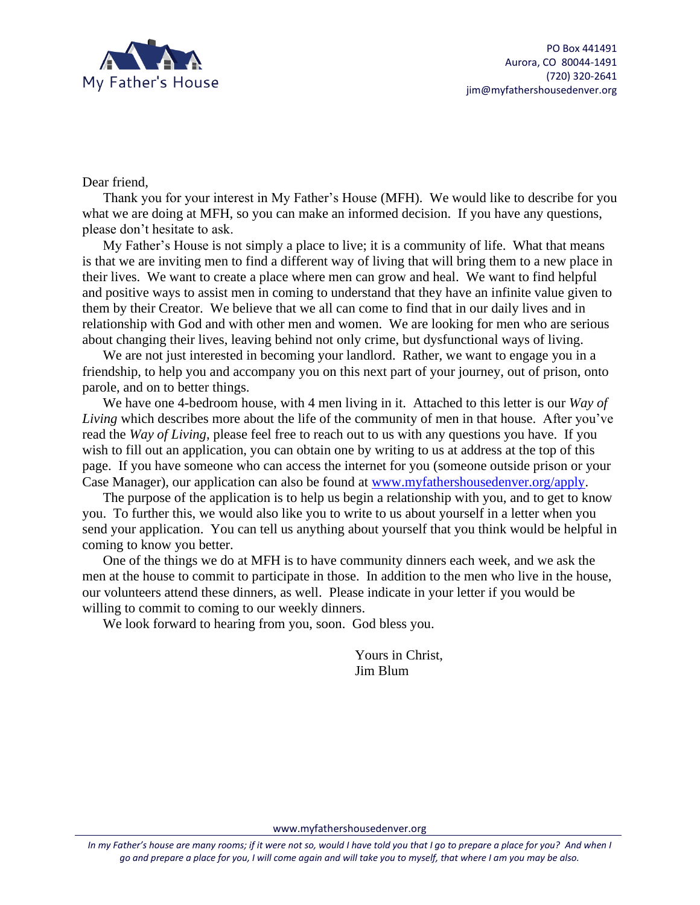

Dear friend,

Thank you for your interest in My Father's House (MFH). We would like to describe for you what we are doing at MFH, so you can make an informed decision. If you have any questions, please don't hesitate to ask.

My Father's House is not simply a place to live; it is a community of life. What that means is that we are inviting men to find a different way of living that will bring them to a new place in their lives. We want to create a place where men can grow and heal. We want to find helpful and positive ways to assist men in coming to understand that they have an infinite value given to them by their Creator. We believe that we all can come to find that in our daily lives and in relationship with God and with other men and women. We are looking for men who are serious about changing their lives, leaving behind not only crime, but dysfunctional ways of living.

We are not just interested in becoming your landlord. Rather, we want to engage you in a friendship, to help you and accompany you on this next part of your journey, out of prison, onto parole, and on to better things.

We have one 4-bedroom house, with 4 men living in it. Attached to this letter is our *Way of Living* which describes more about the life of the community of men in that house. After you've read the *Way of Living*, please feel free to reach out to us with any questions you have. If you wish to fill out an application, you can obtain one by writing to us at address at the top of this page. If you have someone who can access the internet for you (someone outside prison or your Case Manager), our application can also be found at [www.myfathershousedenver.org/apply.](http://www.myfathershousedenver.org/apply)

The purpose of the application is to help us begin a relationship with you, and to get to know you. To further this, we would also like you to write to us about yourself in a letter when you send your application. You can tell us anything about yourself that you think would be helpful in coming to know you better.

One of the things we do at MFH is to have community dinners each week, and we ask the men at the house to commit to participate in those. In addition to the men who live in the house, our volunteers attend these dinners, as well. Please indicate in your letter if you would be willing to commit to coming to our weekly dinners.

We look forward to hearing from you, soon. God bless you.

Yours in Christ, Jim Blum

www.myfathershousedenver.org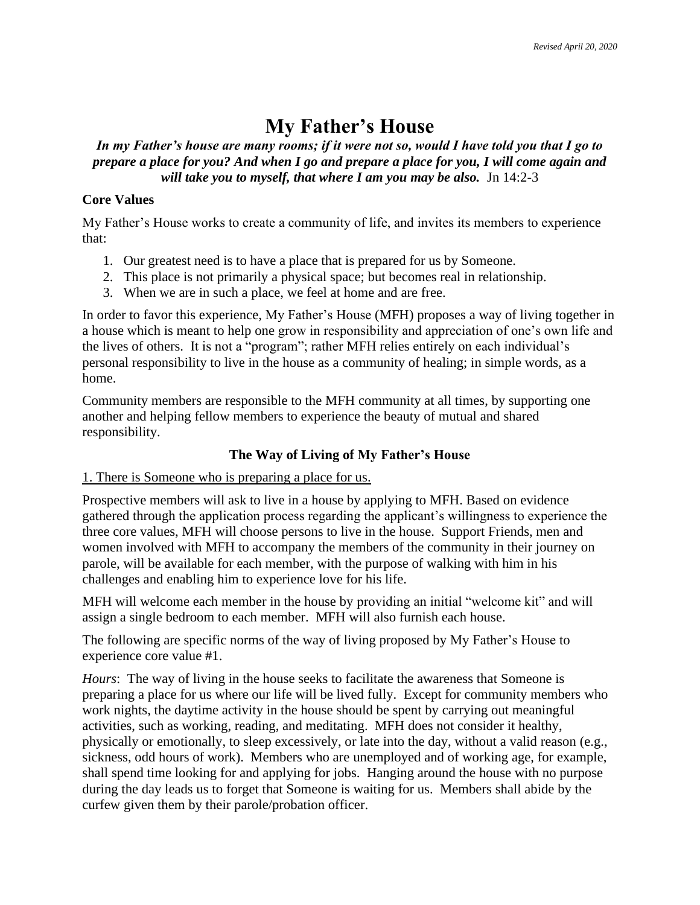# **My Father's House**

## *In my Father's house are many rooms; if it were not so, would I have told you that I go to prepare a place for you? And when I go and prepare a place for you, I will come again and*  will take you to myself, that where I am you may be also. Jn 14:2-3

## **Core Values**

My Father's House works to create a community of life, and invites its members to experience that:

- 1. Our greatest need is to have a place that is prepared for us by Someone.
- 2. This place is not primarily a physical space; but becomes real in relationship.
- 3. When we are in such a place, we feel at home and are free.

In order to favor this experience, My Father's House (MFH) proposes a way of living together in a house which is meant to help one grow in responsibility and appreciation of one's own life and the lives of others. It is not a "program"; rather MFH relies entirely on each individual's personal responsibility to live in the house as a community of healing; in simple words, as a home.

Community members are responsible to the MFH community at all times, by supporting one another and helping fellow members to experience the beauty of mutual and shared responsibility.

# **The Way of Living of My Father's House**

# 1. There is Someone who is preparing a place for us.

Prospective members will ask to live in a house by applying to MFH. Based on evidence gathered through the application process regarding the applicant's willingness to experience the three core values, MFH will choose persons to live in the house. Support Friends, men and women involved with MFH to accompany the members of the community in their journey on parole, will be available for each member, with the purpose of walking with him in his challenges and enabling him to experience love for his life.

MFH will welcome each member in the house by providing an initial "welcome kit" and will assign a single bedroom to each member. MFH will also furnish each house.

The following are specific norms of the way of living proposed by My Father's House to experience core value #1.

*Hours*: The way of living in the house seeks to facilitate the awareness that Someone is preparing a place for us where our life will be lived fully. Except for community members who work nights, the daytime activity in the house should be spent by carrying out meaningful activities, such as working, reading, and meditating. MFH does not consider it healthy, physically or emotionally, to sleep excessively, or late into the day, without a valid reason (e.g., sickness, odd hours of work). Members who are unemployed and of working age, for example, shall spend time looking for and applying for jobs. Hanging around the house with no purpose during the day leads us to forget that Someone is waiting for us. Members shall abide by the curfew given them by their parole/probation officer.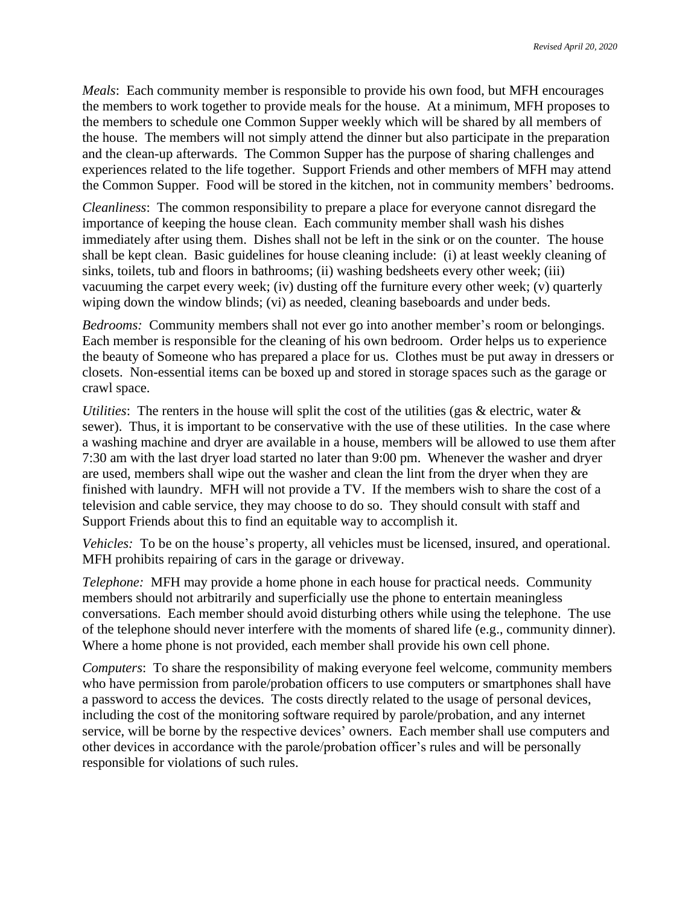*Meals*: Each community member is responsible to provide his own food, but MFH encourages the members to work together to provide meals for the house. At a minimum, MFH proposes to the members to schedule one Common Supper weekly which will be shared by all members of the house. The members will not simply attend the dinner but also participate in the preparation and the clean-up afterwards. The Common Supper has the purpose of sharing challenges and experiences related to the life together. Support Friends and other members of MFH may attend the Common Supper. Food will be stored in the kitchen, not in community members' bedrooms.

*Cleanliness*: The common responsibility to prepare a place for everyone cannot disregard the importance of keeping the house clean. Each community member shall wash his dishes immediately after using them. Dishes shall not be left in the sink or on the counter. The house shall be kept clean. Basic guidelines for house cleaning include: (i) at least weekly cleaning of sinks, toilets, tub and floors in bathrooms; (ii) washing bedsheets every other week; (iii) vacuuming the carpet every week; (iv) dusting off the furniture every other week; (v) quarterly wiping down the window blinds; (vi) as needed, cleaning baseboards and under beds.

*Bedrooms:* Community members shall not ever go into another member's room or belongings. Each member is responsible for the cleaning of his own bedroom. Order helps us to experience the beauty of Someone who has prepared a place for us. Clothes must be put away in dressers or closets. Non-essential items can be boxed up and stored in storage spaces such as the garage or crawl space.

*Utilities*: The renters in the house will split the cost of the utilities (gas & electric, water & sewer). Thus, it is important to be conservative with the use of these utilities. In the case where a washing machine and dryer are available in a house, members will be allowed to use them after 7:30 am with the last dryer load started no later than 9:00 pm. Whenever the washer and dryer are used, members shall wipe out the washer and clean the lint from the dryer when they are finished with laundry. MFH will not provide a TV. If the members wish to share the cost of a television and cable service, they may choose to do so. They should consult with staff and Support Friends about this to find an equitable way to accomplish it.

*Vehicles:* To be on the house's property, all vehicles must be licensed, insured, and operational. MFH prohibits repairing of cars in the garage or driveway.

*Telephone:* MFH may provide a home phone in each house for practical needs. Community members should not arbitrarily and superficially use the phone to entertain meaningless conversations. Each member should avoid disturbing others while using the telephone. The use of the telephone should never interfere with the moments of shared life (e.g., community dinner). Where a home phone is not provided, each member shall provide his own cell phone.

*Computers*: To share the responsibility of making everyone feel welcome, community members who have permission from parole/probation officers to use computers or smartphones shall have a password to access the devices. The costs directly related to the usage of personal devices, including the cost of the monitoring software required by parole/probation, and any internet service, will be borne by the respective devices' owners. Each member shall use computers and other devices in accordance with the parole/probation officer's rules and will be personally responsible for violations of such rules.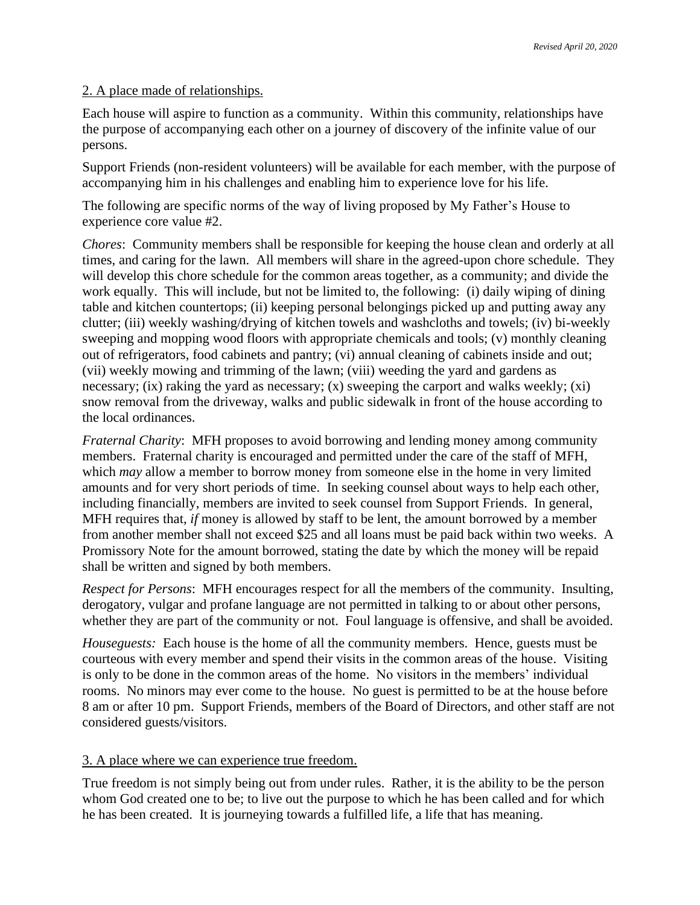#### 2. A place made of relationships.

Each house will aspire to function as a community. Within this community, relationships have the purpose of accompanying each other on a journey of discovery of the infinite value of our persons.

Support Friends (non-resident volunteers) will be available for each member, with the purpose of accompanying him in his challenges and enabling him to experience love for his life.

The following are specific norms of the way of living proposed by My Father's House to experience core value #2.

*Chores*: Community members shall be responsible for keeping the house clean and orderly at all times, and caring for the lawn. All members will share in the agreed-upon chore schedule. They will develop this chore schedule for the common areas together, as a community; and divide the work equally. This will include, but not be limited to, the following: (i) daily wiping of dining table and kitchen countertops; (ii) keeping personal belongings picked up and putting away any clutter; (iii) weekly washing/drying of kitchen towels and washcloths and towels; (iv) bi-weekly sweeping and mopping wood floors with appropriate chemicals and tools; (v) monthly cleaning out of refrigerators, food cabinets and pantry; (vi) annual cleaning of cabinets inside and out; (vii) weekly mowing and trimming of the lawn; (viii) weeding the yard and gardens as necessary; (ix) raking the yard as necessary; (x) sweeping the carport and walks weekly; (xi) snow removal from the driveway, walks and public sidewalk in front of the house according to the local ordinances.

*Fraternal Charity*: MFH proposes to avoid borrowing and lending money among community members. Fraternal charity is encouraged and permitted under the care of the staff of MFH, which *may* allow a member to borrow money from someone else in the home in very limited amounts and for very short periods of time. In seeking counsel about ways to help each other, including financially, members are invited to seek counsel from Support Friends. In general, MFH requires that, *if* money is allowed by staff to be lent, the amount borrowed by a member from another member shall not exceed \$25 and all loans must be paid back within two weeks. A Promissory Note for the amount borrowed, stating the date by which the money will be repaid shall be written and signed by both members.

*Respect for Persons*: MFH encourages respect for all the members of the community. Insulting, derogatory, vulgar and profane language are not permitted in talking to or about other persons, whether they are part of the community or not. Foul language is offensive, and shall be avoided.

*Houseguests:* Each house is the home of all the community members. Hence, guests must be courteous with every member and spend their visits in the common areas of the house. Visiting is only to be done in the common areas of the home. No visitors in the members' individual rooms. No minors may ever come to the house. No guest is permitted to be at the house before 8 am or after 10 pm. Support Friends, members of the Board of Directors, and other staff are not considered guests/visitors.

#### 3. A place where we can experience true freedom.

True freedom is not simply being out from under rules. Rather, it is the ability to be the person whom God created one to be; to live out the purpose to which he has been called and for which he has been created. It is journeying towards a fulfilled life, a life that has meaning.